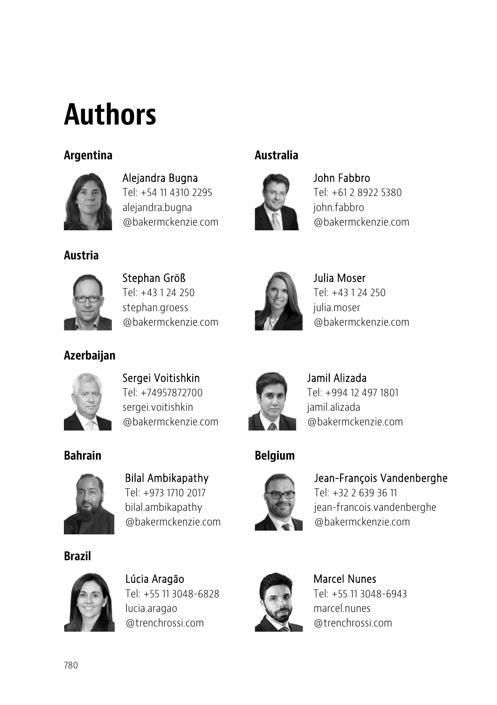# Authors

### Argentina Australia



Alejandra Bugna Tel: +54 11 4310 2295 alejandra.bugna @bakermckenzie.com



John Fabbro Tel: +61 2 8922 5380 john.fabbro @bakermckenzie.com

### Austria



Stephan Größ Tel: +43 1 24 250 stephan.groess @bakermckenzie.com



Julia Moser Tel: +43 1 24 250 julia.moser @bakermckenzie.com



Azerbaijan

Sergei Voitishkin Tel: +74957872700 sergei.voitishkin @bakermckenzie.com



Jamil Alizada Tel: +994 12 497 1801 jamil.alizada @bakermckenzie.com

### Bahrain **Belgium**



Jean-François Vandenberghe

Tel: +32 2 639 36 11 jean-francois.vandenberghe @bakermckenzie.com



Marcel Nunes Tel: +55 11 3048-6943 marcel.nunes @trenchrossi.com



Bilal Ambikapathy Tel: +973 1710 2017 bilal.ambikapathy @bakermckenzie.com

Brazil



Lúcia Aragão Tel: +55 11 3048-6828 lucia.aragao @trenchrossi.com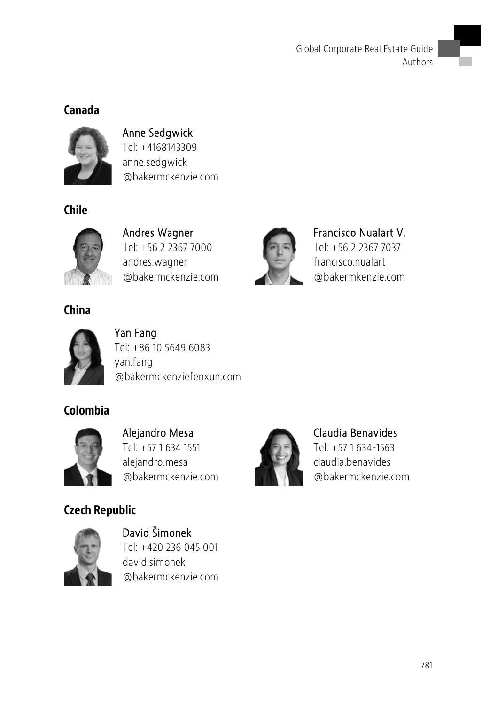### Canada



Anne Sedgwick Tel: +4168143309 anne.sedgwick @bakermckenzie.com

### Chile



Andres Wagner Tel: +56 2 2367 7000 andres.wagner @bakermckenzie.com

China



Yan Fang Tel: +86 10 5649 6083 yan.fang @bakermckenziefenxun.com

### Colombia



Alejandro Mesa Tel: +57 1 634 1551 alejandro.mesa @bakermckenzie.com

### Czech Republic



David Šimonek Tel: +420 236 045 001 david.simonek @bakermckenzie.com



Francisco Nualart V. Tel: +56 2 2367 7037 francisco.nualart @bakermkenzie.com



Claudia Benavides Tel: +57 1 634-1563 claudia.benavides @bakermckenzie.com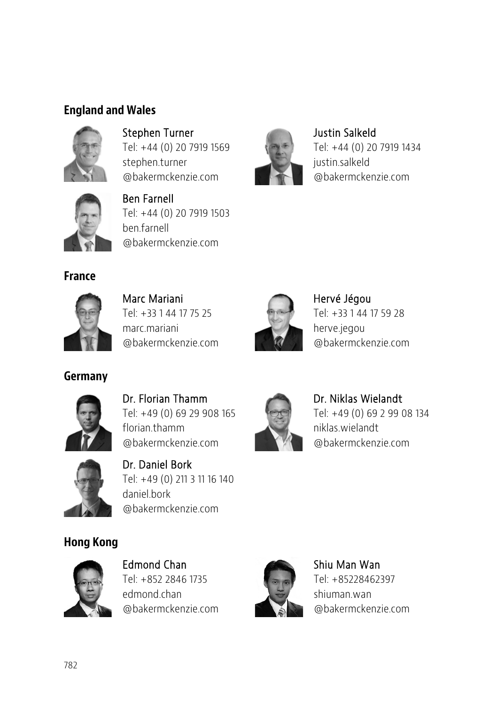### England and Wales



Stephen Turner Tel: +44 (0) 20 7919 1569 stephen.turner @bakermckenzie.com



Ben Farnell Tel: +44 (0) 20 7919 1503 ben.farnell @bakermckenzie.com

France



Marc Mariani Tel: +33 1 44 17 75 25 marc.mariani @bakermckenzie.com



Hervé Jégou Tel: +33 1 44 17 59 28 herve.jegou @bakermckenzie.com

Justin Salkeld

justin.salkeld

Tel: +44 (0) 20 7919 1434

@bakermckenzie.com



Germany

Dr. Florian Thamm Tel: +49 (0) 69 29 908 165 florian thamm @bakermckenzie.com



Dr. Niklas Wielandt Tel: +49 (0) 69 2 99 08 134 niklas.wielandt @bakermckenzie.com



Dr. Daniel Bork Tel: +49 (0) 211 3 11 16 140 daniel.bork @bakermckenzie.com

### Hong Kong



Edmond Chan Tel: +852 2846 1735 edmond.chan @bakermckenzie.com



Shiu Man Wan Tel: +85228462397 shiuman.wan @bakermckenzie.com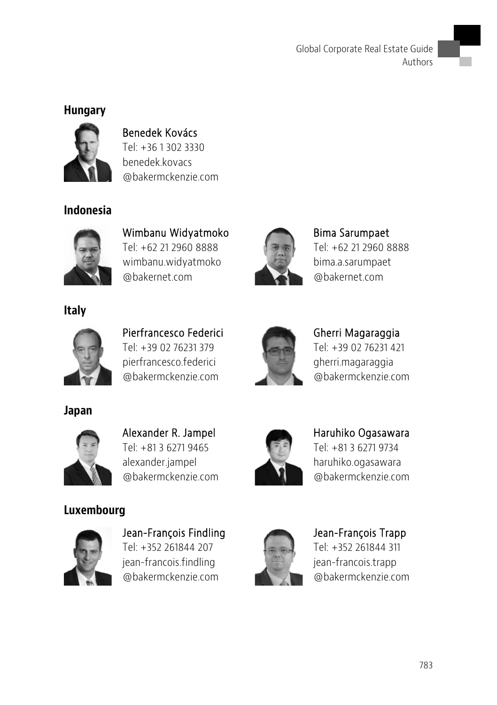### Hungary



Benedek Kovács Tel: +36 1 302 3330 benedek.kovacs @bakermckenzie.com

### Indonesia



Wimbanu Widyatmoko Tel: +62 21 2960 8888 wimbanu.widyatmoko @bakernet.com



Bima Sarumpaet Tel: +62 21 2960 8888 bima.a.sarumpaet @bakernet.com





Pierfrancesco Federici Tel: +39 02 76231 379 pierfrancesco.federici @bakermckenzie.com



Gherri Magaraggia Tel: +39 02 76231 421 gherri.magaraggia @bakermckenzie.com

Haruhiko Ogasawara Tel: +81 3 6271 9734 haruhiko.ogasawara @bakermckenzie.com

Japan



Alexander R. Jampel Tel: +81 3 6271 9465 alexander.jampel @bakermckenzie.com

## Luxembourg



Jean-François Findling Tel: +352 261844 207 jean-francois.findling @bakermckenzie.com



Jean-François Trapp Tel: +352 261844 311 jean-francois.trapp @bakermckenzie.com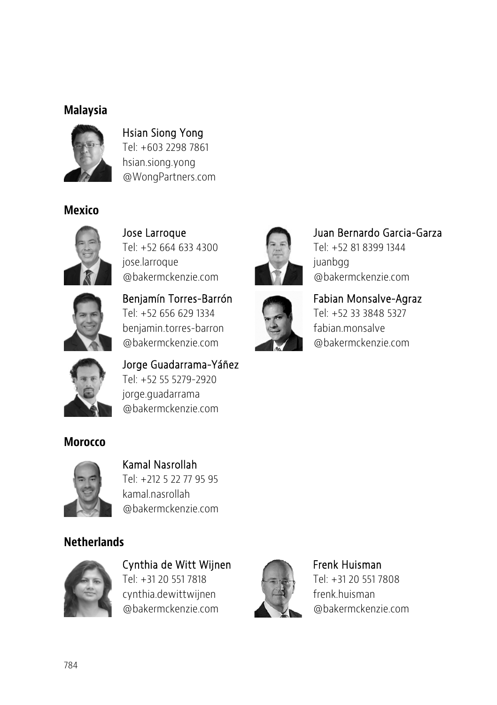### Malaysia



Hsian Siong Yong Tel: +603 2298 7861 hsian.siong.yong @WongPartners.com

### Mexico



Jose Larroque Tel: +52 664 633 4300 jose.larroque @bakermckenzie.com



Benjamín Torres-Barrón Tel: +52 656 629 1334 benjamin.torres-barron @bakermckenzie.com



Juan Bernardo Garcia-Garza Juan Bernardo Garcia-GarzaTel: +52 81 8399 1344 iuanbgg @bakermckenzie.com

### Fabian Monsalve-Agraz Tel: +52 33 3848 5327

fabian.monsalve @bakermckenzie.com



Jorge Guadarrama-Yáñez Tel: +52 55 5279-2920 jorge.guadarrama @bakermckenzie.com

**Morocco** 



Kamal Nasrollah Tel: +212 5 22 77 95 95 kamal.nasrollah @bakermckenzie.com

### **Netherlands**



Cynthia de Witt Wijnen Tel: +31 20 551 7818 cynthia.dewittwijnen @bakermckenzie.com



Frenk Huisman Tel: +31 20 551 7808 frenk huisman @bakermckenzie.com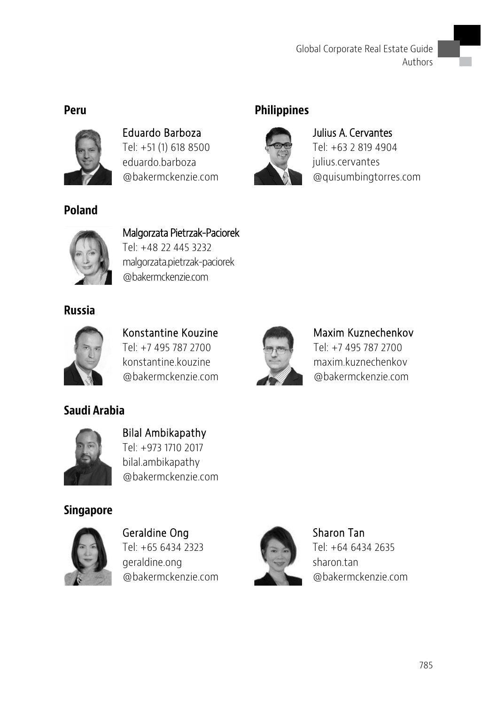

Eduardo Barboza Tel: +51 (1) 618 8500 eduardo.barboza @bakermckenzie.com

### Peru Philippines



Julius A. Cervantes Tel: +63 2 819 4904 julius.cervantes @quisumbingtorres.com



Poland

Malgorzata Pietrzak-Paciorek Tel: +48 22 445 3232 malgorzata.pietrzak-paciorek @bakermckenzie.com

Russia



Konstantine Kouzine Tel: +7 495 787 2700 konstantine kouzine. @bakermckenzie.com



Maxim Kuznechenkov Tel: +7 495 787 2700 maxim.kuznechenkov @bakermckenzie.com



Saudi Arabia

Bilal Ambikapathy Tel: +973 1710 2017 bilal.ambikapathy @bakermckenzie.com

### Singapore



Geraldine Ong Tel: +65 6434 2323 geraldine.ong @bakermckenzie.com



Sharon Tan Tel: +64 6434 2635 sharon.tan @bakermckenzie.com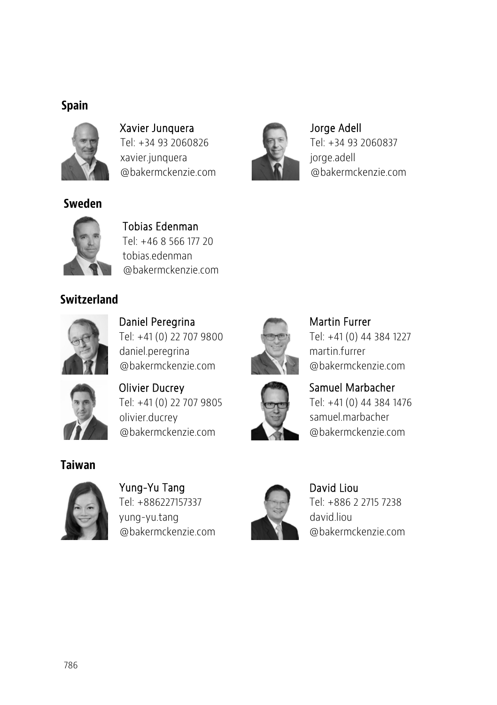### Spain



Sweden

Xavier Junquera Tel: +34 93 2060826 xavier.junquera @bakermckenzie.com



Jorge Adell Tel: +34 93 2060837 jorge.adell @bakermckenzie.com



Tobias Edenman Tel: +46 8 566 177 20 tobias.edenman @bakermckenzie.com

### **Switzerland**



Daniel Peregrina Tel: +41 (0) 22 707 9800 daniel.peregrina @bakermckenzie.com



Martin Furrer Tel: +41 (0) 44 384 1227 martin.furrer @bakermckenzie.com



Olivier Ducrey Tel: +41 (0) 22 707 9805 olivier.ducrey @bakermckenzie.com



Samuel Marbacher Tel: +41 (0) 44 384 1476 samuel.marbacher @bakermckenzie.com

### Taiwan



Yung-Yu Tang Tel: +886227157337 yung-yu.tang @bakermckenzie.com



David Liou Tel: +886 2 2715 7238 david.liou @bakermckenzie.com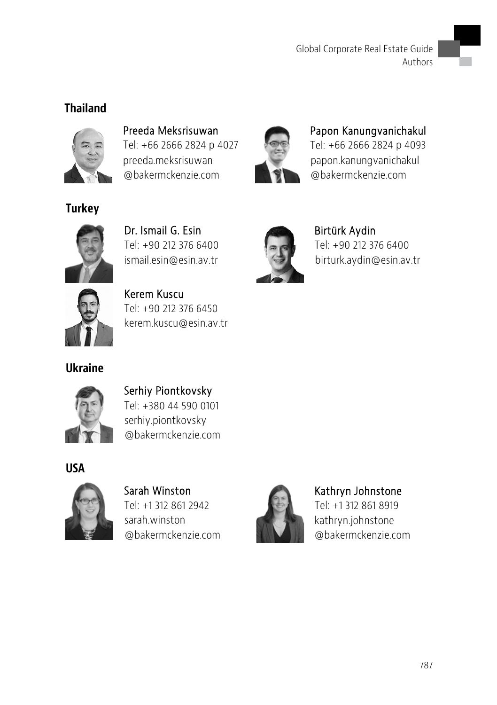### Thailand



Preeda Meksrisuwan Tel: +66 2666 2824 p 4027 preeda.meksrisuwan @bakermckenzie.com



Papon Kanungvanichakul Tel: +66 2666 2824 p 4093 papon.kanungvanichakul @bakermckenzie.com



**Turkey** 

Dr. Ismail G. Esin Tel: +90 212 376 6400 ismail.esin@esin.av.tr



Kerem Kuscu Tel: +90 212 376 6450 kerem.kuscu@esin.av.tr



Birtürk Aydin Tel: +90 212 376 6400 birturk.aydin@esin.av.tr





Serhiy Piontkovsky Tel: +380 44 590 0101 serhiy.piontkovsky @bakermckenzie.com

USA



Sarah Winston Tel: +1 312 861 2942 sarah.winston @bakermckenzie.com



### Kathryn Johnstone

Tel: +1 312 861 8919 kathryn.johnstone @bakermckenzie.com